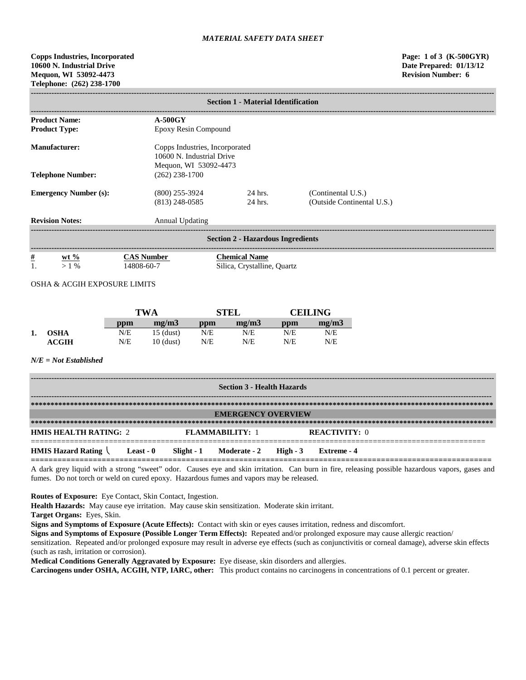**Copps Industries, Incorporated Page: 1 of 3 (K-500GYR) 10600 N. Industrial Drive Date Prepared: 01/13/12 Mequon, WI 53092-4473 Revision Number: 6 Telephone: (262) 238-1700**

|                                          | <b>Section 1 - Material Identification</b> |                                                             |                                                  |  |  |  |  |
|------------------------------------------|--------------------------------------------|-------------------------------------------------------------|--------------------------------------------------|--|--|--|--|
| <b>Product Name:</b>                     | <b>A-500GY</b>                             |                                                             |                                                  |  |  |  |  |
| <b>Product Type:</b>                     |                                            | Epoxy Resin Compound                                        |                                                  |  |  |  |  |
| Manufacturer:                            | Mequon, WI 53092-4473                      | Copps Industries, Incorporated<br>10600 N. Industrial Drive |                                                  |  |  |  |  |
| <b>Telephone Number:</b>                 | $(262)$ 238-1700                           |                                                             |                                                  |  |  |  |  |
| <b>Emergency Number (s):</b>             | $(800)$ 255-3924<br>$(813)$ 248-0585       | 24 hrs.<br>24 hrs.                                          | (Continental U.S.)<br>(Outside Continental U.S.) |  |  |  |  |
| <b>Revision Notes:</b>                   | <b>Annual Updating</b>                     |                                                             |                                                  |  |  |  |  |
| <b>Section 2 - Hazardous Ingredients</b> |                                            |                                                             |                                                  |  |  |  |  |
| $\frac{\#}{1}$<br>$Wt\%$<br>$>1\%$       | <b>CAS Number</b><br>14808-60-7            | <b>Chemical Name</b><br>Silica, Crystalline, Quartz         |                                                  |  |  |  |  |

OSHA & ACGIH EXPOSURE LIMITS

|    |                  |     | TWA         |     | STEL  |     | <b>CEILING</b> |  |
|----|------------------|-----|-------------|-----|-------|-----|----------------|--|
|    |                  | ppm | mg/m3       | ppm | mg/m3 | ppm | mg/m3          |  |
| 1. | <b>OSHA</b>      | N/E | 15 (dust)   | N/E | N/E   | N/E | N/E            |  |
|    | $\mathbf{ACGIH}$ | N/E | $10$ (dust) | N/E | N/E   | N/E | N/E            |  |

*N/E = Not Established*

| <b>Section 3 - Health Hazards</b>              |                           |  |                                    |  |                      |  |
|------------------------------------------------|---------------------------|--|------------------------------------|--|----------------------|--|
|                                                |                           |  |                                    |  |                      |  |
|                                                | <b>EMERGENCY OVERVIEW</b> |  |                                    |  |                      |  |
|                                                |                           |  |                                    |  |                      |  |
| <b>HMIS HEALTH RATING: 2</b>                   |                           |  | <b>FLAMMARILITY: 1</b>             |  | <b>REACTIVITY: 0</b> |  |
| <b>HMIS Hazard Rating <math>\langle</math></b> | Least - 0                 |  | $Slight - 1$ Moderate - 2 High - 3 |  | Extreme - 4          |  |

A dark grey liquid with a strong "sweet" odor. Causes eye and skin irritation. Can burn in fire, releasing possible hazardous vapors, gases and fumes. Do not torch or weld on cured epoxy. Hazardous fumes and vapors may be released.

**Routes of Exposure:** Eye Contact, Skin Contact, Ingestion.

**Health Hazards:** May cause eye irritation. May cause skin sensitization. Moderate skin irritant.

**Target Organs:** Eyes, Skin.

**Signs and Symptoms of Exposure (Acute Effects):** Contact with skin or eyes causes irritation, redness and discomfort.

**Signs and Symptoms of Exposure (Possible Longer Term Effects):** Repeated and/or prolonged exposure may cause allergic reaction/

sensitization. Repeated and/or prolonged exposure may result in adverse eye effects (such as conjunctivitis or corneal damage), adverse skin effects (such as rash, irritation or corrosion).

**Medical Conditions Generally Aggravated by Exposure:** Eye disease, skin disorders and allergies.

**Carcinogens under OSHA, ACGIH, NTP, IARC, other:** This product contains no carcinogens in concentrations of 0.1 percent or greater.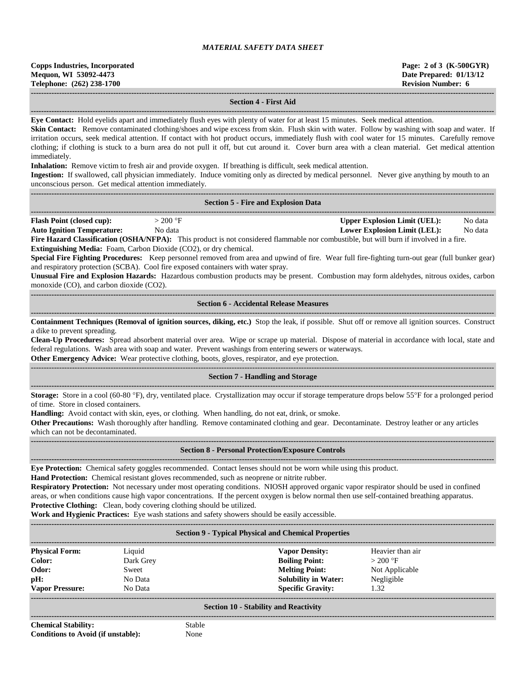#### **Section 4 - First Aid**

**------------------------------------------------------------------------------------------------------------------------------------------------------------------------------------ Eye Contact:** Hold eyelids apart and immediately flush eyes with plenty of water for at least 15 minutes. Seek medical attention.

Skin Contact: Remove contaminated clothing/shoes and wipe excess from skin. Flush skin with water. Follow by washing with soap and water. If irritation occurs, seek medical attention. If contact with hot product occurs, immediately flush with cool water for 15 minutes. Carefully remove clothing; if clothing is stuck to a burn area do not pull it off, but cut around it. Cover burn area with a clean material. Get medical attention immediately.

**Inhalation:** Remove victim to fresh air and provide oxygen. If breathing is difficult, seek medical attention.

**Ingestion:** If swallowed, call physician immediately. Induce vomiting only as directed by medical personnel. Never give anything by mouth to an unconscious person. Get medical attention immediately.

| <b>Section 5 - Fire and Explosion Data</b>                                                                                                                                                                                                                                                                                                                                                                                                                                                                                                                                                                                                                                                                                                  |                                                                                                  |
|---------------------------------------------------------------------------------------------------------------------------------------------------------------------------------------------------------------------------------------------------------------------------------------------------------------------------------------------------------------------------------------------------------------------------------------------------------------------------------------------------------------------------------------------------------------------------------------------------------------------------------------------------------------------------------------------------------------------------------------------|--------------------------------------------------------------------------------------------------|
| <b>Flash Point (closed cup):</b><br>$>200$ °F<br><b>Auto Ignition Temperature:</b><br>No data<br>Fire Hazard Classification (OSHA/NFPA): This product is not considered flammable nor combustible, but will burn if involved in a fire.<br>Extinguishing Media: Foam, Carbon Dioxide (CO2), or dry chemical.<br>Special Fire Fighting Procedures: Keep personnel removed from area and upwind of fire. Wear full fire-fighting turn-out gear (full bunker gear)<br>and respiratory protection (SCBA). Cool fire exposed containers with water spray.<br>Unusual Fire and Explosion Hazards: Hazardous combustion products may be present. Combustion may form aldehydes, nitrous oxides, carbon<br>monoxide (CO), and carbon dioxide (CO2). | <b>Upper Explosion Limit (UEL):</b><br>No data<br><b>Lower Explosion Limit (LEL):</b><br>No data |
| <b>Section 6 - Accidental Release Measures</b>                                                                                                                                                                                                                                                                                                                                                                                                                                                                                                                                                                                                                                                                                              |                                                                                                  |
| Containment Techniques (Removal of ignition sources, diking, etc.) Stop the leak, if possible. Shut off or remove all ignition sources. Construct<br>a dike to prevent spreading.<br>Clean-Up Procedures: Spread absorbent material over area. Wipe or scrape up material. Dispose of material in accordance with local, state and<br>federal regulations. Wash area with soap and water. Prevent washings from entering sewers or waterways.<br>Other Emergency Advice: Wear protective clothing, boots, gloves, respirator, and eye protection.                                                                                                                                                                                           |                                                                                                  |
| <b>Section 7 - Handling and Storage</b>                                                                                                                                                                                                                                                                                                                                                                                                                                                                                                                                                                                                                                                                                                     |                                                                                                  |
| Storage: Store in a cool (60-80 °F), dry, ventilated place. Crystallization may occur if storage temperature drops below 55°F for a prolonged period<br>of time. Store in closed containers.<br>Handling: Avoid contact with skin, eyes, or clothing. When handling, do not eat, drink, or smoke.<br>Other Precautions: Wash thoroughly after handling. Remove contaminated clothing and gear. Decontaminate. Destroy leather or any articles<br>which can not be decontaminated.                                                                                                                                                                                                                                                           |                                                                                                  |
| <b>Section 8 - Personal Protection/Exposure Controls</b>                                                                                                                                                                                                                                                                                                                                                                                                                                                                                                                                                                                                                                                                                    |                                                                                                  |
| Eye Protection: Chemical safety goggles recommended. Contact lenses should not be worn while using this product.<br>Hand Protection: Chemical resistant gloves recommended, such as neoprene or nitrite rubber.<br>Respiratory Protection: Not necessary under most operating conditions. NIOSH approved organic vapor respirator should be used in confined<br>areas, or when conditions cause high vapor concentrations. If the percent oxygen is below normal then use self-contained breathing apparatus.                                                                                                                                                                                                                               |                                                                                                  |

**Protective Clothing:** Clean, body covering clothing should be utilized.

**Work and Hygienic Practices:** Eye wash stations and safety showers should be easily accessible. **------------------------------------------------------------------------------------------------------------------------------------------------------------------------------------**

| <b>Section 9 - Typical Physical and Chemical Properties</b>               |                                                    |                                                                                                                                    |                                                                       |  |  |
|---------------------------------------------------------------------------|----------------------------------------------------|------------------------------------------------------------------------------------------------------------------------------------|-----------------------------------------------------------------------|--|--|
| <b>Physical Form:</b><br>Color:<br>Odor:<br>pH:<br><b>Vapor Pressure:</b> | Liquid<br>Dark Grey<br>Sweet<br>No Data<br>No Data | <b>Vapor Density:</b><br><b>Boiling Point:</b><br><b>Melting Point:</b><br><b>Solubility in Water:</b><br><b>Specific Gravity:</b> | Heavier than air<br>$>200$ °F<br>Not Applicable<br>Negligible<br>1.32 |  |  |
|                                                                           |                                                    | <b>Section 10 - Stability and Reactivity</b>                                                                                       |                                                                       |  |  |

**Chemical Stability:** Stable **Conditions to Avoid (if unstable):** None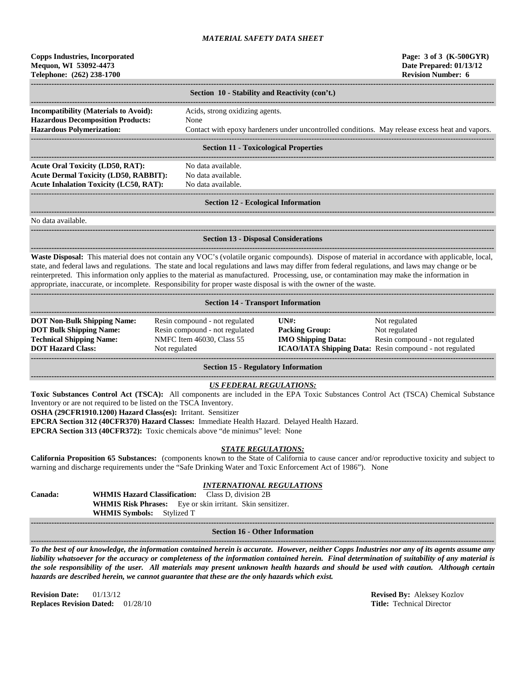| <b>Copps Industries, Incorporated</b> |
|---------------------------------------|
| Mequon, WI 53092-4473                 |
| Telephone: (262) 238-1700             |

|                                                                                                                              | Section 10 - Stability and Reactivity (con't.)                                                                                             |
|------------------------------------------------------------------------------------------------------------------------------|--------------------------------------------------------------------------------------------------------------------------------------------|
| <b>Incompatibility (Materials to Avoid):</b><br><b>Hazardous Decomposition Products:</b><br><b>Hazardous Polymerization:</b> | Acids, strong oxidizing agents.<br>None<br>Contact with epoxy hardeners under uncontrolled conditions. May release excess heat and vapors. |
|                                                                                                                              | <b>Section 11 - Toxicological Properties</b>                                                                                               |

#### **Section 11 - Toxicological Properties**

**------------------------------------------------------------------------------------------------------------------------------------------------------------------------------------** Acute Oral Toxicity (LD50, RAT): No data available. **Acute Dermal Toxicity (LD50, RABBIT):** No data available. **Acute Inhalation Toxicity (LC50, RAT):** No data available.

**------------------------------------------------------------------------------------------------------------------------------------------------------------------------------------**

# ------------------------------------------------------------------------------------------------------------------------------------------------------------------------------------

#### **Section 12 - Ecological Information**

**------------------------------------------------------------------------------------------------------------------------------------------------------------------------------------**

**------------------------------------------------------------------------------------------------------------------------------------------------------------------------------------**

No data available.

# **Section 13 - Disposal Considerations**

**------------------------------------------------------------------------------------------------------------------------------------------------------------------------------------ Waste Disposal:** This material does not contain any VOC's (volatile organic compounds). Dispose of material in accordance with applicable, local, state, and federal laws and regulations. The state and local regulations and laws may differ from federal regulations, and laws may change or be reinterpreted. This information only applies to the material as manufactured. Processing, use, or contamination may make the information in appropriate, inaccurate, or incomplete. Responsibility for proper waste disposal is with the owner of the waste.

| <b>Section 14 - Transport Information</b>                                                                                           |                                                                                                                |                                                             |                                                                                                                             |  |  |  |  |
|-------------------------------------------------------------------------------------------------------------------------------------|----------------------------------------------------------------------------------------------------------------|-------------------------------------------------------------|-----------------------------------------------------------------------------------------------------------------------------|--|--|--|--|
| <b>DOT Non-Bulk Shipping Name:</b><br><b>DOT Bulk Shipping Name:</b><br><b>Technical Shipping Name:</b><br><b>DOT Hazard Class:</b> | Resin compound - not regulated<br>Resin compound - not regulated<br>NMFC Item 46030, Class 55<br>Not regulated | IINH:<br><b>Packing Group:</b><br><b>IMO Shipping Data:</b> | Not regulated<br>Not regulated<br>Resin compound - not regulated<br>ICAO/IATA Shipping Data: Resin compound - not regulated |  |  |  |  |

**Section 15 - Regulatory Information**

## *US FEDERAL REGULATIONS:*

**Toxic Substances Control Act (TSCA):** All components are included in the EPA Toxic Substances Control Act (TSCA) Chemical Substance Inventory or are not required to be listed on the TSCA Inventory.

**OSHA (29CFR1910.1200) Hazard Class(es):** Irritant. Sensitizer

**EPCRA Section 312 (40CFR370) Hazard Classes:** Immediate Health Hazard. Delayed Health Hazard.

**EPCRA Section 313 (40CFR372):** Toxic chemicals above "de minimus" level: None

### *STATE REGULATIONS:*

**California Proposition 65 Substances:** (components known to the State of California to cause cancer and/or reproductive toxicity and subject to warning and discharge requirements under the "Safe Drinking Water and Toxic Enforcement Act of 1986"). None

# *INTERNATIONAL REGULATIONS*

**Canada: WHMIS Hazard Classification:** Class D, division 2B **WHMIS Risk Phrases:** Eye or skin irritant. Skin sensitizer. **WHMIS Symbols:** Stylized T

#### **------------------------------------------------------------------------------------------------------------------------------------------------------------------------------------ Section 16 - Other Information**

**------------------------------------------------------------------------------------------------------------------------------------------------------------------------------------** *To the best of our knowledge, the information contained herein is accurate. However, neither Copps Industries nor any of its agents assume any liability whatsoever for the accuracy or completeness of the information contained herein. Final determination of suitability of any material is the sole responsibility of the user. All materials may present unknown health hazards and should be used with caution. Although certain hazards are described herein, we cannot guarantee that these are the only hazards which exist.*

**Revision Date:** 01/13/12 **Revised By:** Aleksey Kozlov **Replaces Revision Dated:** 01/28/10 **Title:** Technical Director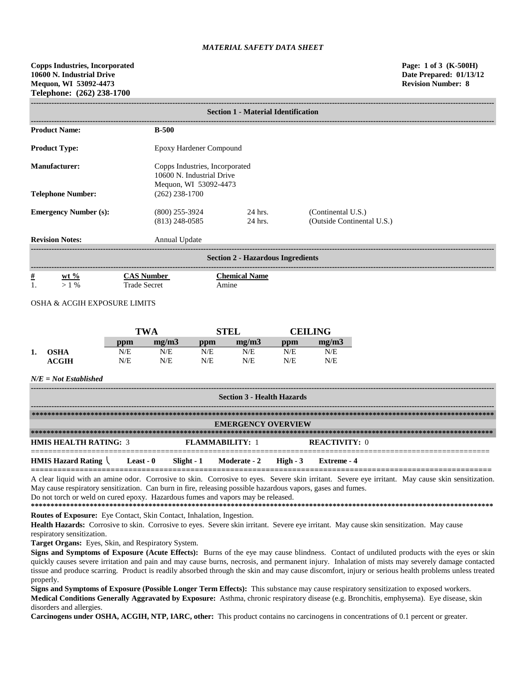**------------------------------------------------------------------------------------------------------------------------------------------------------------------------------------**

|                                              |                                                                                      | <b>Section 1 - Material Identification</b> |                                                  |  |  |  |
|----------------------------------------------|--------------------------------------------------------------------------------------|--------------------------------------------|--------------------------------------------------|--|--|--|
| <b>Product Name:</b>                         | $B-500$                                                                              |                                            |                                                  |  |  |  |
| <b>Product Type:</b>                         |                                                                                      | Epoxy Hardener Compound                    |                                                  |  |  |  |
| Manufacturer:                                | Copps Industries, Incorporated<br>10600 N. Industrial Drive<br>Mequon, WI 53092-4473 |                                            |                                                  |  |  |  |
| <b>Telephone Number:</b>                     | $(262)$ 238-1700                                                                     |                                            |                                                  |  |  |  |
| <b>Emergency Number (s):</b>                 | $(800)$ 255-3924<br>$(813)$ 248-0585                                                 | 24 hrs.<br>24 hrs.                         | (Continental U.S.)<br>(Outside Continental U.S.) |  |  |  |
| <b>Revision Notes:</b>                       | Annual Update                                                                        |                                            |                                                  |  |  |  |
|                                              |                                                                                      | <b>Section 2 - Hazardous Ingredients</b>   |                                                  |  |  |  |
| $\#$<br>wt $\%$                              | <b>CAS Number</b>                                                                    | <b>Chemical Name</b>                       |                                                  |  |  |  |
| 1.<br>$>1\%$<br><b>Trade Secret</b><br>Amine |                                                                                      |                                            |                                                  |  |  |  |
| <b>OSHA &amp; ACGIH EXPOSURE LIMITS</b>      |                                                                                      |                                            |                                                  |  |  |  |

|    |             |     | TWA   |     | <b>TEL</b> |     | <b>CEILING</b> |  |
|----|-------------|-----|-------|-----|------------|-----|----------------|--|
|    |             | ppm | me/m3 | ppm | me/m3      | ppm | mg/m3          |  |
| 1. | <b>OSHA</b> | N/E | N/E   | N/E | N/E        | N/E | N/E            |  |
|    | ACGIH       | N/E | N/E   | N/E | N/E        | N/E | N/E            |  |

#### *N/E = Not Established*

| <b>Section 3 - Health Hazards</b>              |           |  |                                  |  |                      |
|------------------------------------------------|-----------|--|----------------------------------|--|----------------------|
|                                                |           |  |                                  |  |                      |
|                                                |           |  | <b>EMERGENCY OVERVIEW</b>        |  |                      |
|                                                |           |  |                                  |  |                      |
| <b>HMIS HEALTH RATING: 3</b>                   |           |  | <b>FLAMMARILITY: 1</b>           |  | <b>REACTIVITY: 0</b> |
| <b>HMIS Hazard Rating <math>\langle</math></b> | Least - 0 |  | Slight - 1 Moderate - 2 High - 3 |  | Extreme - 4          |

A clear liquid with an amine odor. Corrosive to skin. Corrosive to eyes. Severe skin irritant. Severe eye irritant. May cause skin sensitization. May cause respiratory sensitization. Can burn in fire, releasing possible hazardous vapors, gases and fumes. Do not torch or weld on cured epoxy. Hazardous fumes and vapors may be released.

**\*\*\*\*\*\*\*\*\*\*\*\*\*\*\*\*\*\*\*\*\*\*\*\*\*\*\*\*\*\*\*\*\*\*\*\*\*\*\*\*\*\*\*\*\*\*\*\*\*\*\*\*\*\*\*\*\*\*\*\*\*\*\*\*\*\*\*\*\*\*\*\*\*\*\*\*\*\*\*\*\*\*\*\*\*\*\*\*\*\*\*\*\*\*\*\*\*\*\*\*\*\*\*\*\*\*\*\*\*\*\*\*\*\*\*\*\*\* Routes of Exposure:** Eye Contact, Skin Contact, Inhalation, Ingestion.

Health Hazards: Corrosive to skin. Corrosive to eyes. Severe skin irritant. Severe eye irritant. May cause skin sensitization. May cause respiratory sensitization.

**Target Organs:** Eyes, Skin, and Respiratory System.

**Signs and Symptoms of Exposure (Acute Effects):** Burns of the eye may cause blindness. Contact of undiluted products with the eyes or skin quickly causes severe irritation and pain and may cause burns, necrosis, and permanent injury. Inhalation of mists may severely damage contacted tissue and produce scarring. Product is readily absorbed through the skin and may cause discomfort, injury or serious health problems unless treated properly.

**Signs and Symptoms of Exposure (Possible Longer Term Effects):** This substance may cause respiratory sensitization to exposed workers. **Medical Conditions Generally Aggravated by Exposure:** Asthma, chronic respiratory disease (e.g. Bronchitis, emphysema). Eye disease, skin disorders and allergies.

**Carcinogens under OSHA, ACGIH, NTP, IARC, other:** This product contains no carcinogens in concentrations of 0.1 percent or greater.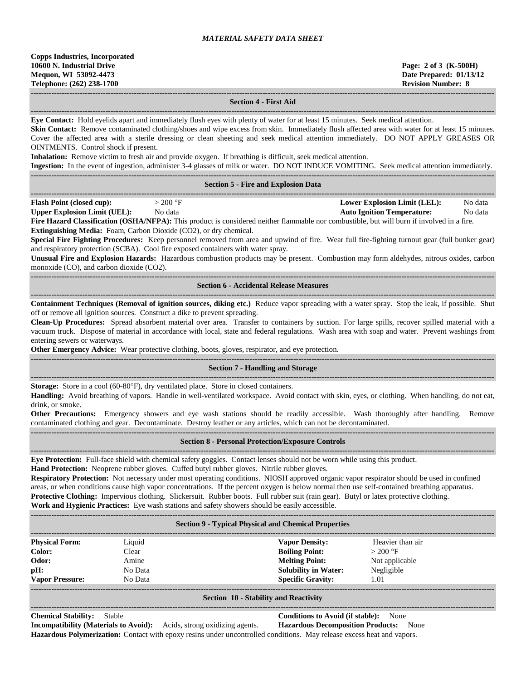**------------------------------------------------------------------------------------------------------------------------------------------------------------------------------------ Section 4 - First Aid ------------------------------------------------------------------------------------------------------------------------------------------------------------------------------------ Eye Contact:** Hold eyelids apart and immediately flush eyes with plenty of water for at least 15 minutes. Seek medical attention. **Skin Contact:** Remove contaminated clothing/shoes and wipe excess from skin. Immediately flush affected area with water for at least 15 minutes. Cover the affected area with a sterile dressing or clean sheeting and seek medical attention immediately. DO NOT APPLY GREASES OR OINTMENTS. Control shock if present. **Inhalation:** Remove victim to fresh air and provide oxygen. If breathing is difficult, seek medical attention. **Ingestion:** In the event of ingestion, administer 3-4 glasses of milk or water. DO NOT INDUCE VOMITING. Seek medical attention immediately. **------------------------------------------------------------------------------------------------------------------------------------------------------------------------------------ Section 5 - Fire and Explosion Data ------------------------------------------------------------------------------------------------------------------------------------------------------------------------------------ Flash Point (closed cup):**  $> 200 \text{ °F}$  **Lower Explosion Limit (LEL):** No data **Upper Explosion Limit (UEL):** No data **Auto Ignition Temperature:** No data **Fire Hazard Classification (OSHA/NFPA):** This product is considered neither flammable nor combustible, but will burn if involved in a fire. **Extinguishing Media:** Foam, Carbon Dioxide (CO2), or dry chemical. **Special Fire Fighting Procedures:** Keep personnel removed from area and upwind of fire. Wear full fire-fighting turnout gear (full bunker gear) and respiratory protection (SCBA). Cool fire exposed containers with water spray. **Unusual Fire and Explosion Hazards:** Hazardous combustion products may be present. Combustion may form aldehydes, nitrous oxides, carbon monoxide (CO), and carbon dioxide (CO2). **------------------------------------------------------------------------------------------------------------------------------------------------------------------------------------ Section 6 - Accidental Release Measures ------------------------------------------------------------------------------------------------------------------------------------------------------------------------------------ Containment Techniques (Removal of ignition sources, diking etc.)** Reduce vapor spreading with a water spray. Stop the leak, if possible. Shut off or remove all ignition sources. Construct a dike to prevent spreading. **Clean-Up Procedures:** Spread absorbent material over area. Transfer to containers by suction. For large spills, recover spilled material with a vacuum truck. Dispose of material in accordance with local, state and federal regulations. Wash area with soap and water. Prevent washings from entering sewers or waterways. **Other Emergency Advice:** Wear protective clothing, boots, gloves, respirator, and eye protection. **------------------------------------------------------------------------------------------------------------------------------------------------------------------------------------ Section 7 - Handling and Storage ------------------------------------------------------------------------------------------------------------------------------------------------------------------------------------ Storage:** Store in a cool (60-80°F), dry ventilated place. Store in closed containers. **Handling:** Avoid breathing of vapors. Handle in well-ventilated workspace. Avoid contact with skin, eyes, or clothing. When handling, do not eat, drink, or smoke. **Other Precautions:** Emergency showers and eye wash stations should be readily accessible. Wash thoroughly after handling. Remove contaminated clothing and gear. Decontaminate. Destroy leather or any articles, which can not be decontaminated. **------------------------------------------------------------------------------------------------------------------------------------------------------------------------------------ Section 8 - Personal Protection/Exposure Controls ------------------------------------------------------------------------------------------------------------------------------------------------------------------------------------ Eye Protection:** Full-face shield with chemical safety goggles. Contact lenses should not be worn while using this product. **Hand Protection:** Neoprene rubber gloves. Cuffed butyl rubber gloves. Nitrile rubber gloves. **Respiratory Protection:** Not necessary under most operating conditions. NIOSH approved organic vapor respirator should be used in confined areas, or when conditions cause high vapor concentrations. If the percent oxygen is below normal then use self-contained breathing apparatus. **Protective Clothing:** Impervious clothing. Slickersuit. Rubber boots. Full rubber suit (rain gear). Butyl or latex protective clothing.

**Work and Hygienic Practices:** Eye wash stations and safety showers should be easily accessible.

|                        |         | <b>Section 9 - Typical Physical and Chemical Properties</b> |                  |
|------------------------|---------|-------------------------------------------------------------|------------------|
| <b>Physical Form:</b>  | Liquid  | <b>Vapor Density:</b>                                       | Heavier than air |
| Color:                 | Clear   | <b>Boiling Point:</b>                                       | $>200$ °F        |
| Odor:                  | Amine   | <b>Melting Point:</b>                                       | Not applicable   |
| pH:                    | No Data | <b>Solubility in Water:</b>                                 | Negligible       |
| <b>Vapor Pressure:</b> | No Data | <b>Specific Gravity:</b>                                    | 1.01             |
|                        |         |                                                             |                  |

**------------------------------------------------------------------------------------------------------------------------------------------------------------------------------------**

#### **Section 10 - Stability and Reactivity ------------------------------------------------------------------------------------------------------------------------------------------------------------------------------------**

#### **Chemical Stability:** Stable **Conditions to Avoid (if stable):** None

**Incompatibility (Materials to Avoid):** Acids, strong oxidizing agents. **Hazardous Decomposition Products:** None **Hazardous Polymerization:** Contact with epoxy resins under uncontrolled conditions. May release excess heat and vapors.